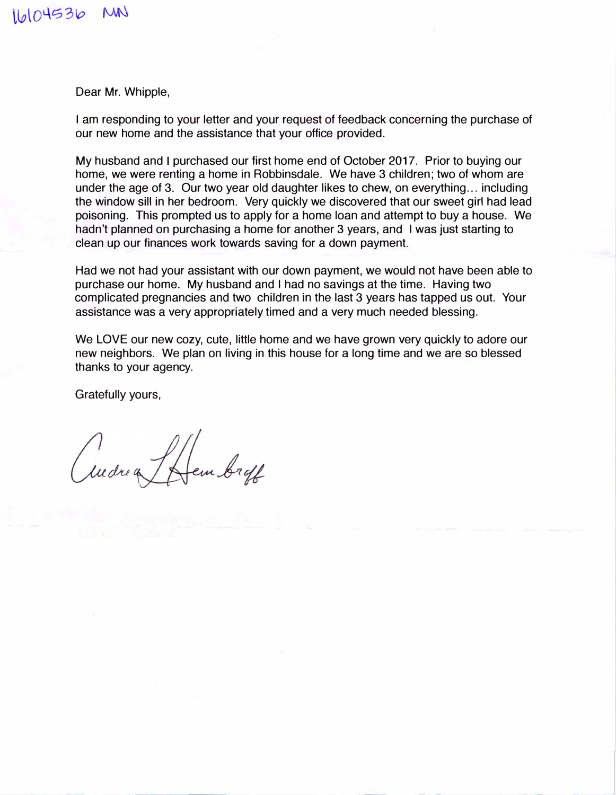16104536 MN

Dear Mr. Whipple,

I am responding to your letter and your request of feedback concerning the purchase of our new home and the assistance that your office provided.

My husband and I purchased our first home end of October 2017. Prior to buying our home, we were renting a home in Robbinsdale. We have 3 children; two of whom are under the age of 3. Our two year old daughter likes to chew, on everything... including the window sill in her bedroom. Very quickly we discovered that our sweet girl had lead poisoning. This prompted us to apply for a home loan and attempt to buy a house. We hadn't planned on purchasing a home for another 3 years, and I was just starting to clean up our finances work towards saving for a down payment.

Had we not had your assistant with our down payment, we would not have been able to purchase our home. My husband and I had no savings at the time. Having two complicated pregnancies and two children in the last 3 years has tapped us out. Your assistance was a very appropriately timed and a very much needed blessing.

We LOVE our new cozy, cute, little home and we have grown very quickly to adore our new neighbors. We plan on living in this house for a long time and we are so blessed thanks to your agency.

Gratefully yours,

I Hem broff